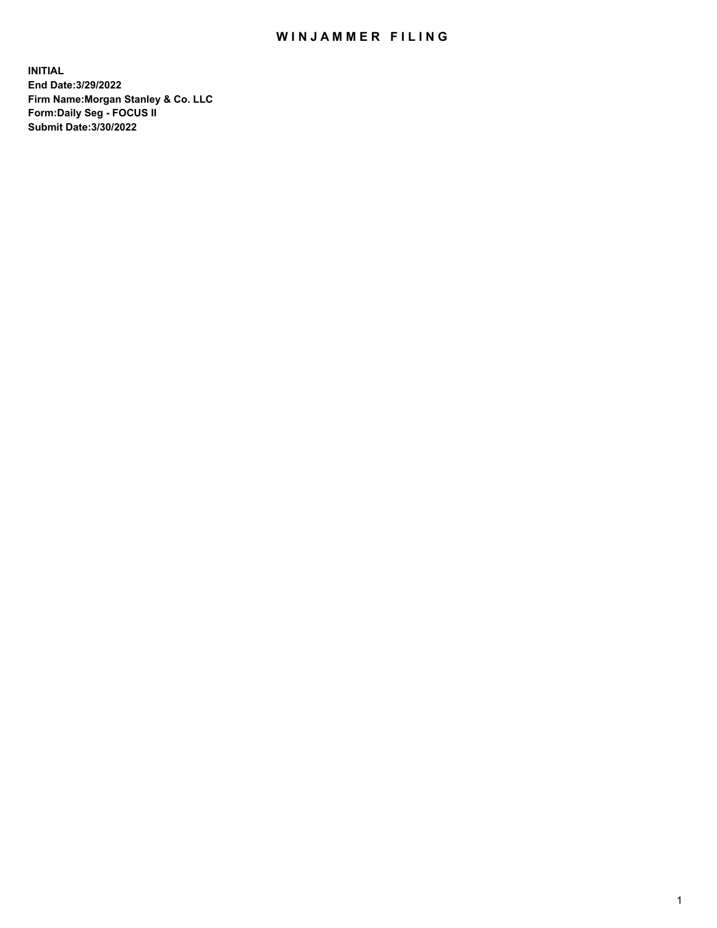## WIN JAMMER FILING

**INITIAL End Date:3/29/2022 Firm Name:Morgan Stanley & Co. LLC Form:Daily Seg - FOCUS II Submit Date:3/30/2022**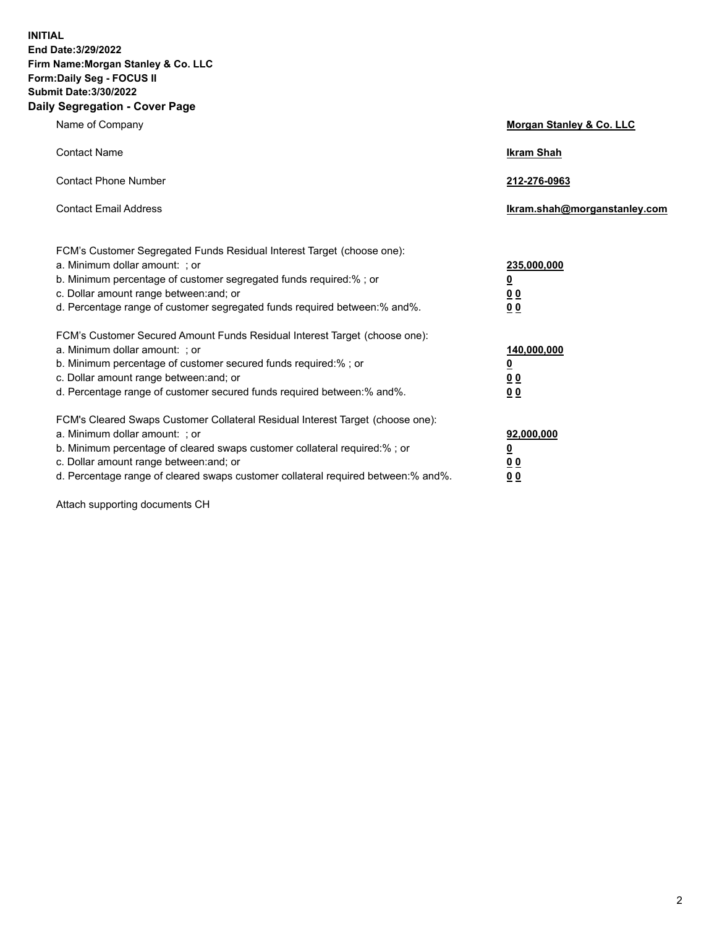**INITIAL End Date:3/29/2022 Firm Name:Morgan Stanley & Co. LLC Form:Daily Seg - FOCUS II Submit Date:3/30/2022 Daily Segregation - Cover Page**

| Name of Company                                                                                                                                                                                                                                                                                                                | Morgan Stanley & Co. LLC                               |
|--------------------------------------------------------------------------------------------------------------------------------------------------------------------------------------------------------------------------------------------------------------------------------------------------------------------------------|--------------------------------------------------------|
| <b>Contact Name</b>                                                                                                                                                                                                                                                                                                            | <b>Ikram Shah</b>                                      |
| <b>Contact Phone Number</b>                                                                                                                                                                                                                                                                                                    | 212-276-0963                                           |
| <b>Contact Email Address</b>                                                                                                                                                                                                                                                                                                   | Ikram.shah@morganstanley.com                           |
| FCM's Customer Segregated Funds Residual Interest Target (choose one):<br>a. Minimum dollar amount: : or<br>b. Minimum percentage of customer segregated funds required:%; or<br>c. Dollar amount range between: and; or<br>d. Percentage range of customer segregated funds required between:% and%.                          | 235,000,000<br><u>0</u><br>0 Q<br><u>00</u>            |
| FCM's Customer Secured Amount Funds Residual Interest Target (choose one):<br>a. Minimum dollar amount: ; or<br>b. Minimum percentage of customer secured funds required:%; or<br>c. Dollar amount range between: and; or<br>d. Percentage range of customer secured funds required between:% and%.                            | 140,000,000<br><u>0</u><br><u>00</u><br>0 <sub>0</sub> |
| FCM's Cleared Swaps Customer Collateral Residual Interest Target (choose one):<br>a. Minimum dollar amount: ; or<br>b. Minimum percentage of cleared swaps customer collateral required:% ; or<br>c. Dollar amount range between: and; or<br>d. Percentage range of cleared swaps customer collateral required between:% and%. | 92,000,000<br><u>0</u><br><u>00</u><br>0 <sub>0</sub>  |

Attach supporting documents CH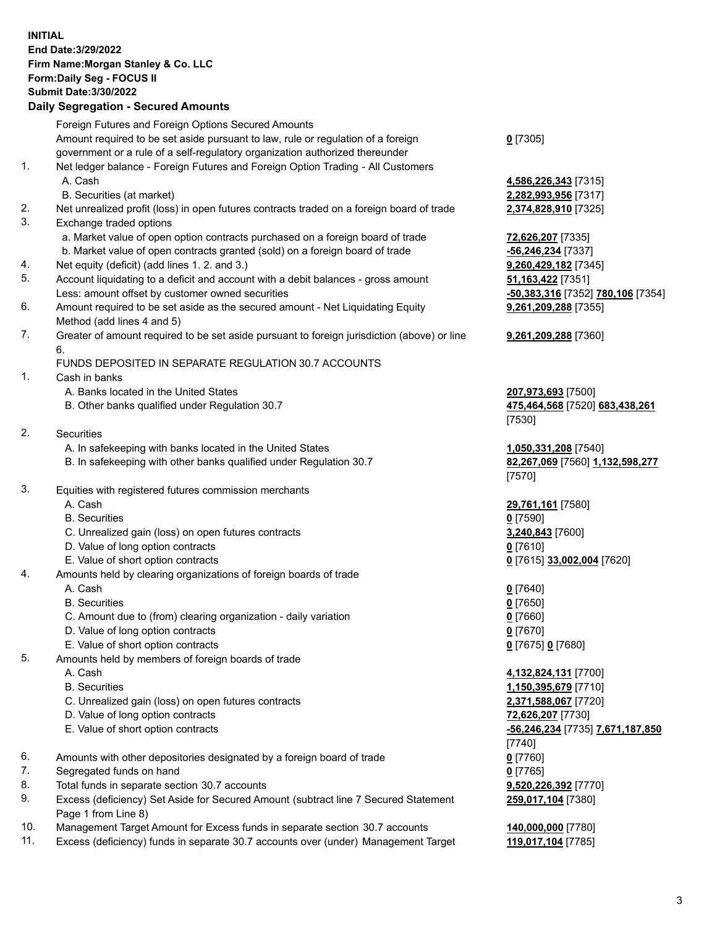## **INITIAL End Date:3/29/2022 Firm Name:Morgan Stanley & Co. LLC Form:Daily Seg - FOCUS II Submit Date:3/30/2022**

## **Daily Segregation - Secured Amounts**

|    | Foreign Futures and Foreign Options Secured Amounts                                         |                                   |
|----|---------------------------------------------------------------------------------------------|-----------------------------------|
|    | Amount required to be set aside pursuant to law, rule or regulation of a foreign            | $0$ [7305]                        |
|    | government or a rule of a self-regulatory organization authorized thereunder                |                                   |
| 1. | Net ledger balance - Foreign Futures and Foreign Option Trading - All Customers             |                                   |
|    | A. Cash                                                                                     | 4,586,226,343 [7315]              |
|    | B. Securities (at market)                                                                   | 2,282,993,956 [7317]              |
| 2. | Net unrealized profit (loss) in open futures contracts traded on a foreign board of trade   | 2,374,828,910 [7325]              |
| 3. | Exchange traded options                                                                     |                                   |
|    | a. Market value of open option contracts purchased on a foreign board of trade              | 72,626,207 [7335]                 |
|    | b. Market value of open contracts granted (sold) on a foreign board of trade                | -56,246,234 [7337]                |
| 4. | Net equity (deficit) (add lines 1. 2. and 3.)                                               | 9,260,429,182 [7345]              |
| 5. | Account liquidating to a deficit and account with a debit balances - gross amount           | 51,163,422 [7351]                 |
|    | Less: amount offset by customer owned securities                                            | -50,383,316 [7352] 780,106 [7354] |
| 6. | Amount required to be set aside as the secured amount - Net Liquidating Equity              | 9,261,209,288 [7355]              |
|    | Method (add lines 4 and 5)                                                                  |                                   |
| 7. | Greater of amount required to be set aside pursuant to foreign jurisdiction (above) or line | 9,261,209,288 [7360]              |
|    | 6.                                                                                          |                                   |
|    | FUNDS DEPOSITED IN SEPARATE REGULATION 30.7 ACCOUNTS                                        |                                   |
| 1. | Cash in banks                                                                               |                                   |
|    | A. Banks located in the United States                                                       | 207,973,693 [7500]                |
|    | B. Other banks qualified under Regulation 30.7                                              | 475,464,568 [7520] 683,438,261    |
|    |                                                                                             | [7530]                            |
| 2. | <b>Securities</b>                                                                           |                                   |
|    | A. In safekeeping with banks located in the United States                                   | 1,050,331,208 [7540]              |
|    | B. In safekeeping with other banks qualified under Regulation 30.7                          | 82,267,069 [7560] 1,132,598,277   |
|    |                                                                                             | [7570]                            |
| 3. | Equities with registered futures commission merchants                                       |                                   |
|    | A. Cash                                                                                     | 29,761,161 [7580]                 |
|    | <b>B.</b> Securities                                                                        | $0$ [7590]                        |
|    | C. Unrealized gain (loss) on open futures contracts                                         | 3,240,843 [7600]                  |
|    | D. Value of long option contracts                                                           | $0$ [7610]                        |
|    | E. Value of short option contracts                                                          | 0 [7615] 33,002,004 [7620]        |
| 4. | Amounts held by clearing organizations of foreign boards of trade                           |                                   |
|    | A. Cash                                                                                     | $0$ [7640]                        |
|    | <b>B.</b> Securities                                                                        | $0$ [7650]                        |
|    | C. Amount due to (from) clearing organization - daily variation                             | $0$ [7660]                        |
|    | D. Value of long option contracts                                                           | $0$ [7670]                        |
|    | E. Value of short option contracts                                                          | 0 [7675] 0 [7680]                 |
| 5. | Amounts held by members of foreign boards of trade                                          |                                   |
|    | A. Cash                                                                                     | 4,132,824,131 [7700]              |
|    | <b>B.</b> Securities                                                                        | 1,150,395,679 [7710]              |
|    | C. Unrealized gain (loss) on open futures contracts                                         | 2,371,588,067 [7720]              |
|    | D. Value of long option contracts                                                           | 72,626,207 [7730]                 |
|    | E. Value of short option contracts                                                          | -56,246,234 [7735] 7,671,187,850  |
|    |                                                                                             | [7740]                            |
| 6. | Amounts with other depositories designated by a foreign board of trade                      | $0$ [7760]                        |
| 7. | Segregated funds on hand                                                                    | $0$ [7765]                        |
| 8. | Total funds in separate section 30.7 accounts                                               | 9,520,226,392 [7770]              |
| 9. | Excess (deficiency) Set Aside for Secured Amount (subtract line 7 Secured Statement         | 259,017,104 [7380]                |
|    | Page 1 from Line 8)                                                                         |                                   |
|    |                                                                                             |                                   |

- 10. Management Target Amount for Excess funds in separate section 30.7 accounts **140,000,000** [7780]
- 11. Excess (deficiency) funds in separate 30.7 accounts over (under) Management Target **119,017,104** [7785]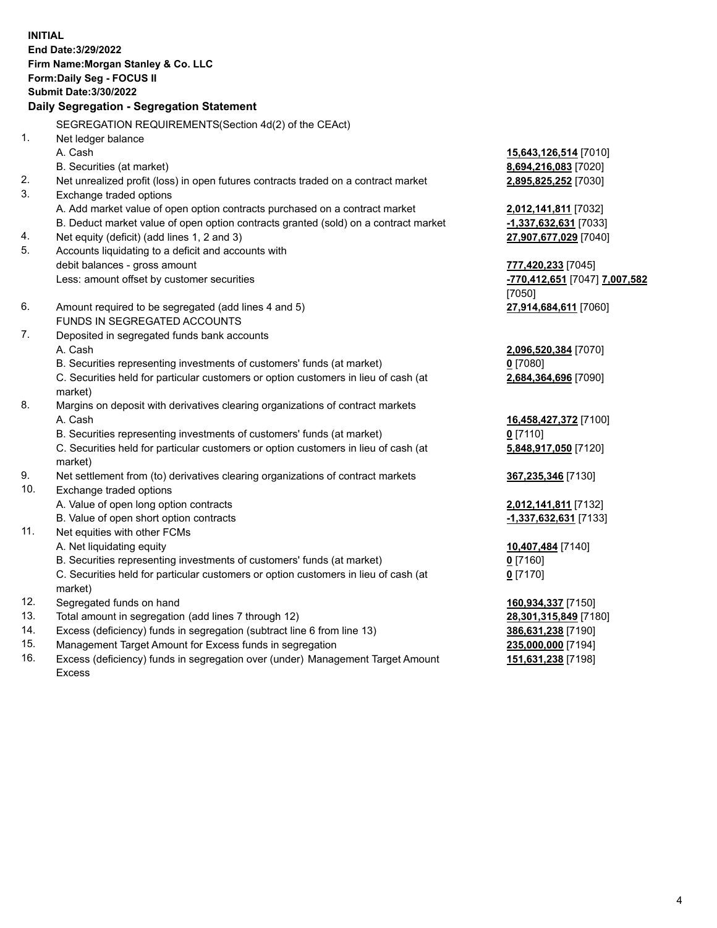**INITIAL End Date:3/29/2022 Firm Name:Morgan Stanley & Co. LLC Form:Daily Seg - FOCUS II Submit Date:3/30/2022 Daily Segregation - Segregation Statement** SEGREGATION REQUIREMENTS(Section 4d(2) of the CEAct) 1. Net ledger balance A. Cash **15,643,126,514** [7010] B. Securities (at market) **8,694,216,083** [7020] 2. Net unrealized profit (loss) in open futures contracts traded on a contract market **2,895,825,252** [7030] 3. Exchange traded options A. Add market value of open option contracts purchased on a contract market **2,012,141,811** [7032] B. Deduct market value of open option contracts granted (sold) on a contract market **-1,337,632,631** [7033] 4. Net equity (deficit) (add lines 1, 2 and 3) **27,907,677,029** [7040] 5. Accounts liquidating to a deficit and accounts with debit balances - gross amount **777,420,233** [7045] Less: amount offset by customer securities **-770,412,651** [7047] **7,007,582** [7050] 6. Amount required to be segregated (add lines 4 and 5) **27,914,684,611** [7060] FUNDS IN SEGREGATED ACCOUNTS 7. Deposited in segregated funds bank accounts A. Cash **2,096,520,384** [7070] B. Securities representing investments of customers' funds (at market) **0** [7080] C. Securities held for particular customers or option customers in lieu of cash (at market) **2,684,364,696** [7090] 8. Margins on deposit with derivatives clearing organizations of contract markets A. Cash **16,458,427,372** [7100] B. Securities representing investments of customers' funds (at market) **0** [7110] C. Securities held for particular customers or option customers in lieu of cash (at market) **5,848,917,050** [7120] 9. Net settlement from (to) derivatives clearing organizations of contract markets **367,235,346** [7130] 10. Exchange traded options A. Value of open long option contracts **2,012,141,811** [7132] B. Value of open short option contracts **-1,337,632,631** [7133] 11. Net equities with other FCMs A. Net liquidating equity **10,407,484** [7140] B. Securities representing investments of customers' funds (at market) **0** [7160] C. Securities held for particular customers or option customers in lieu of cash (at market) **0** [7170] 12. Segregated funds on hand **160,934,337** [7150] 13. Total amount in segregation (add lines 7 through 12) **28,301,315,849** [7180] 14. Excess (deficiency) funds in segregation (subtract line 6 from line 13) **386,631,238** [7190] 15. Management Target Amount for Excess funds in segregation **235,000,000** [7194]

16. Excess (deficiency) funds in segregation over (under) Management Target Amount Excess

**151,631,238** [7198]